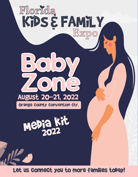

Let us connect you to more families today!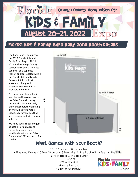

#### Florida Kids & Family Expo Baby Zone Booth details

The Baby Zone is coming to the 2022 Florida Kids and Family Expo August 20-21, 2022 at the Orange County Convention Center. The Baby Zone will be a separate "zone," or area, located within the Florida Kids and Family Expo exhibit floor. It will encompass baby and pregnancy only exhibitors, products and more.

Pre-natal parents and family members will have access to the Baby Zone with entry to the Florida Kids and Family Expo, but separate marketing efforts will also be made specifically for families that are pre-natal and with babies at home.

**8 ft**

We hope you'll choose to join us at the Florida Kids and Family Expo, and more specifically, within the Baby Zone at the 2022 epic expo for families.



#### What comes with your booth?

• 10x10 Space (100 square feet)

• Pipe and Drape (10 Feet Wide and 8 Feet High in the Back with 3 Feet on the Sides)

- 6-Foot Table with Black Linen
	- 2 Chairs
	- Wastebasket
	- Name Placard
	- 3 Exhibitor Badges

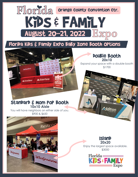

Florida Kids & Family Expo Baby Zone Booth Options

**COLLEC** 

#### Standard & Mom Pop Booth **10x10 Aisle**

**StateFarm** 

**StateFarn** 

State Farm

You will have neighbors on either side of you. \$900 & \$650

Restro Walgreens Walgreen

**Island 20x20**

double Booth **20x10** Expand your space with a double booth \$1700

Enjoy the largest space available. \$3000





**Addition**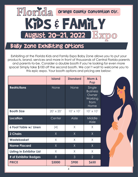

### Baby Zone Exhibiting Options

Exhibiting at the Florida Kids and Family Expo Baby Zone allows you to put your products, brand, services and more in front of thousands of Central Florida parents and parents-to-be. Consider a double booth if you're looking for even more space! Simply take \$100 off the second booth. We can't wait to welcome you to this epic expo. Your booth options and pricing are below:

|                                  | <b>Island</b>    | <b>Standard</b>  | Mom &<br>Pop                                                         |
|----------------------------------|------------------|------------------|----------------------------------------------------------------------|
| <b>Restrictions</b>              | None             | None             | Single<br><b>Business</b><br>Owner<br><b>Working</b><br>from<br>Home |
| <b>Booth Size</b>                | $20' \times 20'$ | $10' \times 10'$ | $10' \times 10'$                                                     |
| <b>Location</b>                  | Center           | Aisle            | Middle<br>Aisle                                                      |
| <b>6 Foot Table w/ Linen</b>     | (4)              | X                | X                                                                    |
| <b>2 Chairs</b>                  | X                | X                | X                                                                    |
| <b>Wastebasket</b>               | X                | X                | $\chi$                                                               |
| <b>Name Placard</b>              | X                | X                | X                                                                    |
| <b>Listing in Exhibitor List</b> | X                | X                | X                                                                    |
| # of Exhibitor Badges            | 8                | 3                | $\overline{2}$                                                       |
| <b>PRICE</b>                     | \$3000           | \$900            | <b>\$650</b>                                                         |